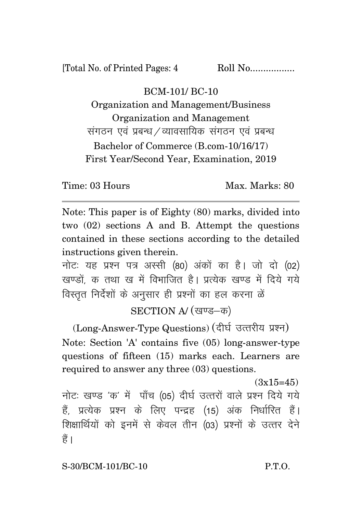[Total No. of Printed Pages: 4 Roll No.................

## BCM-101/ BC-10

Organization and Management/Business Organization and Management संगठन एवं प्रबन्ध /व्यावसायिक संगठन एवं प्रबन्ध Bachelor of Commerce (B.com-10/16/17) First Year/Second Year, Examination, 2019

Time: 03 Hours Max. Max. Marks: 80

Note: This paper is of Eighty (80) marks, divided into two (02) sections A and B. Attempt the questions contained in these sections according to the detailed instructions given therein.

नोट: यह प्रश्न पत्र अस्सी (80) अंकों का है। जो दो (02) खण्डों क तथा ख में विभाजित है। प्रत्येक खण्ड में दिये गये <u>विस्तत निर्देशों के अनसार ही प्रश्नों का हल करना ळें</u>

## SECTION A/ (खण्ड-क)

(Long-Answer-Type Questions) (दीर्घ उत्तरीय प्रश्न) Note: Section 'A' contains five (05) long-answer-type questions of fifteen (15) marks each. Learners are required to answer any three (03) questions.

 $(3x15=45)$ नोटः खण्ड 'क' में पाँच (05) दीर्घ उत्तरों वाले प्रश्न दिये गये हैं, प्रत्येक प्रश्न के लिए पन्द्रह (15) अंक निर्धारित हैं। शिक्षार्थियों को इनमें से केवल तीन (03) प्रश्नों के उत्तर देने हैं ।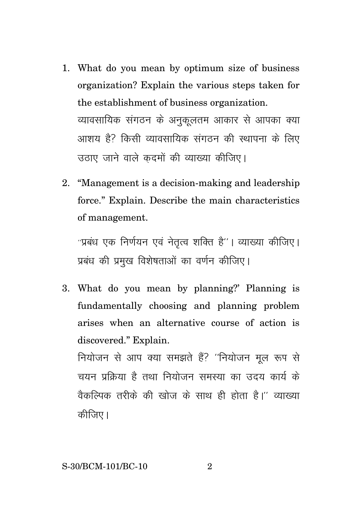- 1. What do you mean by optimum size of business organization? Explain the various steps taken for the establishment of business organization. व्यावसायिक संगठन के अनकलतम आकार से आपका क्या आशय है? किसी व्यावसायिक संगठन की स्थापना के लिए उठाए जाने वाले कदमों की व्याख्या कीजिए।
- 2. "Management is a decision-making and leadership force." Explain. Describe the main characteristics of management.

"प्रबंध एक निर्णयन एवं नेतृत्व शक्ति है"। व्याख्या कीजिए। प्रबंध की प्रमुख विशेषताओं का वर्णन कीजिए।

3. What do you mean by planning?' Planning is fundamentally choosing and planning problem arises when an alternative course of action is discovered." Explain.

नियोजन से आप क्या समझते हैं? "नियोजन मल रूप से चयन प्रक्रिया है तथा नियोजन समस्या का उदय कार्य के वैकल्पिक तरीके की खोज के साथ ही होता है।'' व्याख्या कीजिए।

 $\mathcal{D}_{\mathcal{L}}$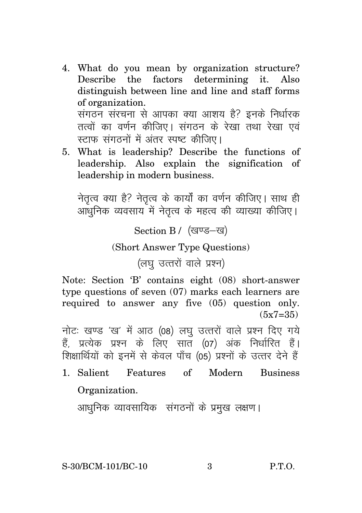- 4. What do you mean by organization structure? Describe the factors determining it. Also distinguish between line and line and staff forms of organization. संगठन संरचना से आपका क्या आशय है? इनके निर्धारक तत्वों का वर्णन कीजिए। संगठन के रेखा तथा रेखा एवं स्टाफ संगठनों में अंतर स्पष्ट कीजिए।
- 5. What is leadership? Describe the functions of leadership. Also explain the signification of leadership in modern business.

नेतृत्व क्या है? नेतृत्व के कार्यों का वर्णन कीजिए। साथ ही आधुनिक व्यवसाय में नेतृत्व के महत्व की व्याख्या कीजिए।

Section B / (खण्ड-ख)

(Short Answer Type Questions)

(लघु उत्तरों वाले प्रश्न)

Note: Section 'B' contains eight (08) short-answer type questions of seven (07) marks each learners are required to answer any five (05) question only.  $(5x7=35)$ 

नोट: खण्ड 'ख' में आठ (08) लघ उत्तरों वाले प्रश्न दिए गये हैं, प्रत्येक प्रश्न के लिए सात (07) अंक निर्धारित हैं। शिक्षार्थियों को इनमें से केवल पाँच (05) प्रश्नों के उत्तर देने हैं

1. Salient Features of Modern Business Organization.

आधुनिक व्यावसायिक संगठनों के प्रमुख लक्षण।